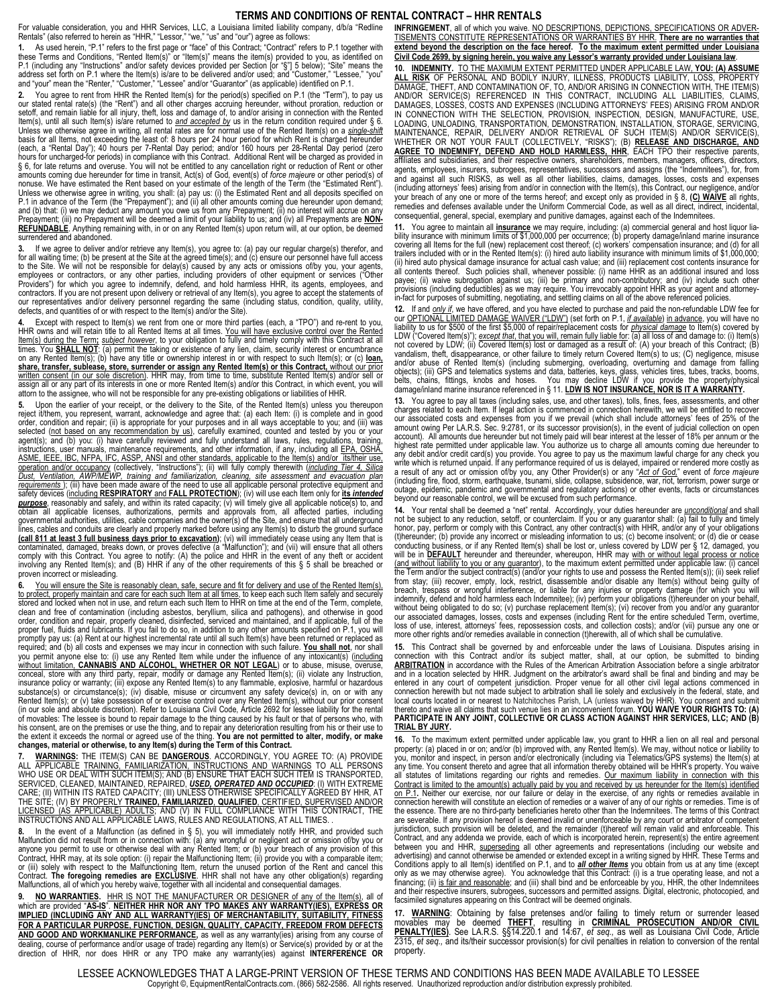## **TERMS AND CONDITIONS OF RENTAL CONTRACT – HHR RENTALS**

For valuable consideration, you and HHR Services, LLC, a Louisiana limited liability company, d/b/a "Redline Rentals" (also referred to herein as "HHR," "Lessor," "we," "us" and "our") agree as follows:

**1.** As used herein, "P.1" refers to the first page or "face" of this Contract; "Contract" refers to P.1 together with these Terms and Conditions, "Rented Item(s)" or "Item(s)" means the item(s) provided to you, as identified on P.1 (including any "Instructions" and/or safety devices provided per Section [or "§"] 5 below); "Site" means the<br>address set forth on P.1 where the Item(s) is/are to be delivered and/or used; and "Customer," "Lessee," "you

**2.** You agree to rent from HHR the Rented Item(s) for the period(s) specified on P.1 (the "Term"), to pay us our stated rental rate(s) (the "Rent") and all other charges accruing hereunder, without proration, reduction or setoff, and remain liable for all injury, theft, loss and damage of, to and/or arising in connection with the Rented ltem(s), until all such Item(s) is/are returned to <u>and accepted by</u> us in the return condition required under § 6.<br>Unless we otherwise agree in writing, all rental rates are for normal use of the Rented Item(s) on a <u>sing</u> basis for all Items, not exceeding the least of: 8 hours per 24 hour period for which Rent is charged hereunder<br>(each, a "Rental Day"); 40 hours per 7-Rental Day period; and/or 160 hours per 28-Rental Day period (zero<br>hour § 6, for late returns and overuse. You will not be entitled to any cancellation right or reduction of Rent or other<br>amounts coming due hereunder for time in transit, Act(s) of God, event(s) of *force majeure* or other peri nonuse. We have estimated the Rent based on your estimate of the length of the Term (the "Estimated Rent"). Unless we otherwise agree in writing, you shall: (a) pay us: (i) the Estimated Rent and all deposits specified on<br>P.1 in advance of the Term (the "Prepayment"); and (ii) all other amounts coming due hereunder upon demand;<br> Prepayment; (iii) no Prepayment will be deemed a limit of your liability to us; and (iv) all Prepayments are NON-<br><u>REFUNDABLE</u>. Anything remaining with, in or on any Rented Item(s) upon return will, at our option, be deeme surrendered and abandoned.

**3.** If we agree to deliver and/or retrieve any Item(s), you agree to: (a) pay our regular charge(s) therefor, and for all waiting time; (b) be present at the Site at the agreed time(s); and (c) ensure our personnel have full access<br>to the Site. We will not be responsible for delay(s) caused by any acts or omissions of/by you, your age Providers") for which you agree to indemnify, defend, and hold harmless HHR, its agents, employees, and contractors. If you are not present upon delivery or retrieval of any Item(s), you agree to accept the statements of<br>our representatives and/or delivery personnel regarding the same (including status, condition, quality, u defects, and quantities of or with respect to the Item(s) and/or the Site).

**4.** Except with respect to Item(s) we rent from one or more third parties (each, a "TPO") and re-rent to you, HHR owns and will retain title to all Rented Items at all times. <u>You will have exclusive control over the Rented</u><br>I<u>tem(s) during the Term; su*bject however,* to your obligation to fully and timely comply with this Contra</u> **share, transfer, sublease, store, surrender or assign any Rented Item(s) or this Contract,** without our prior <u>written consent (in our sole discretion)</u>. HHR may, from time to time, substitute Rented Item(s) and/or sell or<br>assign all or any part of its interests in one or more Rented Item(s) and/or this Contract, in which event, y attorn to the assignee, who will not be responsible for any pre-existing obligations or liabilities of HHR.

**5.** Upon the earlier of your receipt, or the delivery to the Site, of the Rented Item(s) unless you thereupon reject it/them, you represent, warrant, acknowledge and agree that: (a) each Item: (i) is complete and in good<br>order, condition and repair; (ii) is appropriate for your purposes and in all ways acceptable to you; and (iii) selected (not based on any recommendation by us), carefully examined, counted and tested by you or your agent(s); and (b) you: (i) have carefully reviewed and fully understand all laws, rules, regulations, training,<br>instructions, user manuals, maintenance requirements, and other information, if any, including all <u>EPA, OSHA,</u> ASME, IEEE, IBC, NFPA, IFC, ASSP, ANSI and other standards, applicable to the Item(s) and/or its/their use, operation and/or occupancy (collectively, "Instructions"); (ii) will fully comply therewith (including Tier 4, Silica<br>Dust, Ventilation, AWP/MEWP, training and familiarization, cleaning, site assessment and evacuation plan requirements ); (iii) have been made aware of the need to use all applicable personal protective equipment and<br>safety devices (including RESPIRATORY and FALL PROTECTION); (iv) will use each ttem only for <u>tts intended</u><br>pur governmental authorities, utilities, cable companies and the owner(s) of the Site, and ensure that all underground<br>lines, cables and conduits are clearly and properly marked before using any Item(s) to disturb the ground s (call 811 at least 3 full business days prior to excavation); (vi) will immediately cease using any Item that is<br>contaminated, damaged, breaks down, or proves defective (a "Malfunction"); and (vii) will ensure that all oth proven incorrect or misleading.

**6.** You will ensure the Site is reasonably clean, safe, secure and fit for delivery and use of the Rented Item(s), <u>to protect, properly maintain and care for each such Item at all times,</u> to keep each such Item safely and securely<br>stored and locked when not in use, and return each such Item to HHR on time at the end of the Term, compl clean and free of contamination (including asbestos, beryllium, silica and pathogens), and otherwise in good<br>order, condition and repair, properly cleaned, disinfected, serviced and maintained, and if applicable, full of t promptly pay us: (a) Rent at our highest incremental rate until all such Item(s) have been returned or replaced as<br>required; and (b) all costs and expenses we may incur in connection with such failure. <u>You shall not,</u> nor you permit anyone else to: (i) use any Rented Item while under the influence of any intoxicant(s) (including <u>without limitation, **CANNABIS AND ALCOHOL, WHETHER OR NOT LEGAL**) or to abuse, misuse, overuse,<br>conceal, store with any third party, repair, modify or damage any Rented Item(s); (ii) violate any Instruction,<br>insurance pol</u> substance(s) or circumstance(s); (iv) disable, misuse or circumvent any safety device(s) in, on or with any Rented Item(s); or (v) take possession of or exercise control over any Rented Item(s), without our prior consent (in our sole and absolute discretion). Refer to Louisiana Civil Code, Article 2692 for lessee liability for the rental of movables: The lessee is bound to repair damage to the thing caused by his fault or that of persons who, with<br>his consent, are on the premises or use the thing, and to repair any deterioration resulting from his or their **changes, material or otherwise, to any Item(s) during the Term of this Contract.**

7. <mark>WARNINGS</mark>: THE ITEM(S) CAN BE <u>DANGEROUS</u>. ACCORDINGLY, YOU AGREE TO: (A) PROVIDE<br>ALL APPLICABLE <u>TRAINING, FAMILIARIZATION, INSTRUCTIONS AND WARNINGS</u> TO ALL PERSONS<br>WHO USE OR DEAL WITH SUCH ITEM(S); AND (B) ENSU SERVICED, CLEANED, MAINTAINED, REPAIRED, <mark>USED, OPERATED AND OCCUPIED</mark>: (I) WITH EXTREME<br>CARE; (II) WITHIN ITS RATED CAPACITY; (III) UNLESS OTHERWISE SPECIFICALLY AGREED BY HHR, AT THE SITE; (IV) <u>BY PROPERLY **TRAINED. FAMILIARIZED. QUALIFIED.** CERTIFIED. SUPERVISED AND/OR<br><u>LICENSED (AS APPLICABLE) ADULTS;</u> AND (V) IN FULL COMPLIANCE WITH THIS CONTRACT, THE<br>INSTRUCTIONS AND ALL APPLICABLE LAWS, RULES</u>

8. In the event of a Malfunction (as defined in § 5), you will immediately notify HHR, and provided such<br>Malfunction did not result from or in connection with: (a) any wrongful or negligent act or omission of/by you<br>anyone or (iii) solely with respect to the Malfunctioning Item, return the unused portion of the Rent and cancel this Contract. **The foregoing remedies are EXCLUSIVE**. HHR shall not have any other obligation(s) regarding Malfunctions, all of which you hereby waive, together with all incidental and consequential damages.

**9. NO WARRANTIES.** HHR IS NOT THE MANUFACTURER OR DESIGNER of any of the Item(s), all of which are provided "<u>AS-IS". NEITHER HHR NOR ANY TPO MAKES ANY WARRANTY(IES), EXPRESS OR</u><br><u>IMPLIED (INCLUDING ANY AND ALL WARRANTY(IES) OF MERCHANTABILITY, SUITABILITY, FITNESS</u> **FOR A PARTICULAR PURPOSE, FUNCTION, DESIGN, QUALITY, CAPACITY, FREEDOM FROM DEFECTS AND GOOD AND WORKMANLIKE PERFORMANCE,** as well as any warranty(ies) arising from any course of dealing, course of performance and/or usage of trade) regarding any Item(s) or Service(s) provided by or at the direction of HHR, nor does HHR or any TPO make any warranty(ies) against **INTERFERENCE OR** 

**INFRINGEMENT**, all of which you waive. NO DESCRIPTIONS, DEPICTIONS, SPECIFICATIONS OR ADVER-TISEMENTS CONSTITUTE REPRESENTATIONS OR WARRANTIES BY HHR. **There are no warranties that extend beyond the description on the face hereof. To the maximum extent permitted under Louisiana Civil Code 2699, by signing herein, you waive any Lessor's warranty provided under Louisiana law**. **10. INDEMNITY.** TO THE MAXIMUM EXTENT PERMITTED UNDER APPLICABLE LAW, **YOU: (A) ASSUME ALL RISK** OF PERSONAL AND BODILY INJURY, ILLNESS, PRODUCTS LIABILITY, LOSS, PROPERTY DAMAGE, THEFT, AND CONTAMINATION OF, TO, AND/OR ARISING IN CONNECTION WITH, THE ITEM(S)<br>AND/OR SERVICE(S) REFERENCED IN THIS CONTRACT, INCLUDING ALL LIABILITIES, CLAIMS,<br>DAMAGES, LOSSES, COSTS AND EXPENSES (INCLUD IN CONNECTION WITH THE SELECTION, PROVISION, INSPECTION, DESIGN, MANUFACTURE, USE, LOADING, UNLOADING, TRANSPORTATION, DEMONSTRATION, INSTALLATION, STORAGE, SERVICING, MAINTENANCE, REPAIR, DELIVERY AND/OR RETRIEVAL OF SUCH ITEM(S) AND/OR SERVICE(S),<br>WHETHER OR NOT YOUR FAULT (COLLECTIVELY, "RISKS"); (B) <u>RELEASE AND DISCHARGE, AND</u><br><mark>AGREE TO INDEMNIFY, DEFEND AND HOLD HARMLESS, HHR</mark>, EAC affiliates and subsidiaries, and their respective owners, shareholders, members, managers, officers, directors, agents, employees, insurers, subrogees, representatives, successors and assigns (the "Indemnitees"), for, from and against all such RISKS, as well as all other liabilities, claims, damages, losses, costs and expenses (including attorneys' fees) arising from and/or in connection with the Item(s), this Contract, our negligence, and/or your breach of any one or more of the terms hereof; and except only as provided in § 8, **(C) WAIVE** all rights, remedies and defenses available under the Uniform Commercial Code, as well as all direct, indirect, incidental,

consequential, general, special, exemplary and punitive damages, against each of the Indemnitees. **11.** You agree to maintain all <mark>insurance</mark> we may require, including: (a) commercial general and host liquor lia-<br>bility insurance with minimum limits of \$1,000,000 per occurrence; (b) property damage/inland marine insura trailers included with or in the Rented Item(s): (i) hired auto liability insurance with minimum limits of \$1,000,000; (ii) hired auto physical damage insurance for actual cash value; and (iii) replacement cost contents insurance for all contents thereof. Such policies shall, whenever possible: (i) name HHR as an additional insured and loss payee; (ii) waive subrogation against us; (iii) be primary and non-contributory; and (iv) include such other payee; (ii) waive subrogation against us; (iii) be primary and non-contributory; and (iv) include such other<br>provisions (including deductibles) as we may require. You irrevocably appoint HHR as your agent and attorney-<br>in-

**12.** If and <u>only if,</u> we have offered, and you have elected to purchase and paid the non-refundable LDW fee for<br>our <u>OPTIONAL LIMITED DAMAGE WAIVER ("LDW")</u> (set forth on P.1, <u>if available) in advance</u>, you will have no liability to us for \$500 of the first \$5,000 of repair/replacement costs for <u>physical damage</u> to Item(s) covered by<br>LDW ("Covered Item(s)"); <u>except that, that you will, remain fully liable for: (a) all loss of and damage</u> vandalism, theft, disappearance, or other failure to timely return Covered Item(s) to us; (C) negligence, misuse<br>and/or abuse of Rented Item(s) (including submerging, overloading, overturning and damage from falling<br>object

**13.** You agree to pay all taxes (including sales, use, and other taxes), tolls, fines, fees, assessments, and other<br>charges related to each Item. If legal action is commenced in connection herewith, we will be entitled to our associated costs and expenses from you if we prevail (which shall include attorneys' fees of 25% of the amount owing Per LA.R.S. Sec. 9:2781, or its successor provision(s), in the event of judicial collection on open<br>account). All amounts due hereunder but not timely paid will bear interest at the lesser of 18% per annum or highest rate permitted under applicable law. You authorize us to charge all amounts coming due hereunder to any debit and/or credit card(s) you provide. You agree to pay us the maximum lawful charge for any check you<br>write which is returned unpaid. If any performance required of us is delayed, impaired or rendered more costly as write which is returned unpaid. If any performance required of us is delayed, impaired or rendered more costly as<br>a result of any act or omission of/by you, any Other Provider(s) or any "<u>Act' of God,"</u> event of *force maj* outage, epidemic, pandemic and governmental and regulatory actions) or other events, facts or circumstances beyond our reasonable control, we will be excused from such performance.

**14.** Your rental shall be deemed a "net" rental. Accordingly, your duties hereunder are *unconditional* and shall not be subject to any reduction, setoff, or counterclaim. If you or any guarantor shall: (a) fail to fully and timely<br>honor, pay, perform or comply with this Contract, any other contract(s) with HHR, and/or any of your obl (t)hereunder; (b) provide any incorrect or misleading information to us; (c) become insolvent; or (d) die or cease conducting business, or if any Rented Item(s) shall be lost or, unless covered by LDW per § 12, damaged, you<br>will be in <u>DEFAULT</u> hereunder and thereunder, whereupon, HHR may <u>with or without legal process or notice</u> (and without liability to you or any guarantor), to the maximum extent permitted under applicable law: (i) cancel the Term and/or the subject contract(s) (and/or your rights to use and possess the Rented Item(s)); (ii) seek relief<br>from stay; (iii) recover, empty, lock, restrict, disassemble and/or disable any Item(s) witho breach, trespass or wrongful interference, or liable for any injuries or property damage (for which you will<br>indemnify, defend and hold harmless each Indemnitee); (iv) perform your obligations (t)hereunder on your behalf,<br> our associated damages, losses, costs and expenses (including Rent for the entire scheduled Term, overtime, loss of use, interest, attorneys' fees, repossession costs, and collection costs); and/or (vii) pursue any one or more other rights and/or remedies available in connection (t)herewith, all of which shall be cumulative.

**15.** This Contract shall be governed by and enforceable under the laws of Louisiana. Disputes arising in<br>connection with this Contract and/or its subject matter, shall, at our option, be submitted to binding<br>ARBITRATION i and in a location selected by HHR. Judgment on the arbitrator's award shall be final and binding and may be entered in any court of competent jurisdiction. Proper venue for all other civil legal actions commenced in connection herewith but not made subject to arbitration shall lie solely and exclusively in the federal, state, and local courts located in or nearest to Natchitoches Parish, LA (unless waived by HHR). You consent and submit<br>thereto and waive all claims that such venue lies in an inconvenient forum. **YOU WAIVE YOUR RIGHTS TO: (A) PARTICIPATE IN ANY JOINT, COLLECTIVE OR CLASS ACTION AGAINST HHR SERVICES, LLC; AND (B) TRIAL BY JURY.**

**16.** To the maximum extent permitted under applicable law, you grant to HHR a lien on all real and personal<br>property: (a) placed in or on; and/or (b) improved with, any Rented Item(s). We may, without notice or liabilit any time. You consent thereto and agree that all information thereby obtained will be HHR's property. You waive<br>all statutes of limitations regarding our rights and remedies. <u>Our maximum liability in connection with this</u> Contract is limited to the amount(s) actually paid by you and received by us hereunder for the Item(s) identified <u>on P.1</u>. Neither our exercise, nor our failure or delay in the exercise, of any rights or remedies available in<br>connection herewith will constitute an election of remedies or a waiver of any of our rights or remedies. Tim the essence. There are no third-party beneficiaries hereto other than the Indemnitees. The terms of this Contract are severable. If any provision hereof is deemed invalid or unenforceable by any court or arbitrator of competent<br>jurisdiction, such provision will be deleted, and the remainder (t)hereof will remain valid and enforceable. Contract, and any addenda we provide, each of which is incorporated herein, represent(s) the entire agreement between you and HHR, <u>superseding</u> all other agreements and representations (including our website and<br>advertising) and cannot otherwise be amended or extended except in a writing signed by HHR. These Terms and Conditions apply to all Item(s) identified on P.1, and to *all other Items* you obtain from us at any time (except only as we may otherwise agree). You acknowledge that this Contract: (i) is a true operating lease, and not a financing; (ii) is fair and reasonable; and (iii) shall bind and be enforceable by you, HHR, the other Indemnite and their respective insurers, subrogees, successors and permitted assigns. Digital, electronic, photocopied, and facsimiled signatures appearing on this Contract will be deemed originals.

17. WARNING: Obtaining by false pretenses and/or failing to timely return or surrender leased<br>movables may be deemed THEFT, resulting in CRIMINAL PROSECUTION AND/OR CIVIL<br>PENALTY(IES). See LA.R.S. §§14.220.1 and 14:67, e*t* 2315, *et seq.,* and its/their successor provision(s) for civil penalties in relation to conversion of the rental property.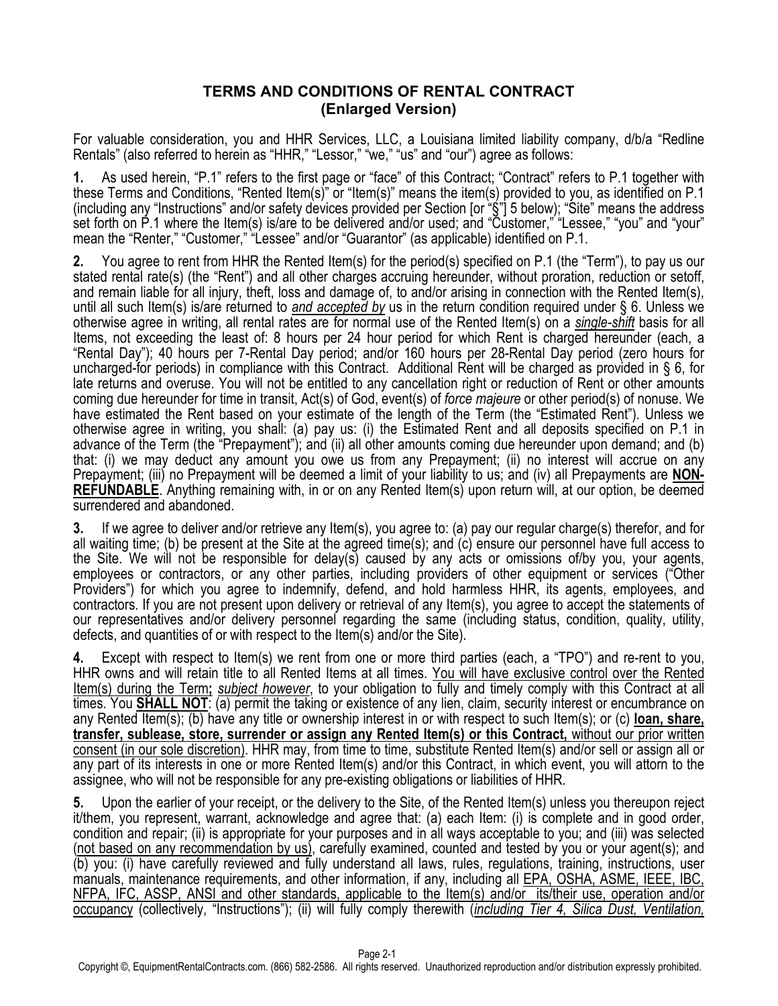## **TERMS AND CONDITIONS OF RENTAL CONTRACT (Enlarged Version)**

For valuable consideration, you and HHR Services, LLC, a Louisiana limited liability company, d/b/a "Redline Rentals" (also referred to herein as "HHR," "Lessor," "we," "us" and "our") agree as follows:

As used herein, "P.1" refers to the first page or "face" of this Contract; "Contract" refers to P.1 together with these Terms and Conditions, "Rented Item(s)" or "Item(s)" means the item(s) provided to you, as identified on P.1 (including any "Instructions" and/or safety devices provided per Section [or "§"] 5 below); "Site" means the address set forth on P.1 where the Item(s) is/are to be delivered and/or used; and "Customer," "Lessee," "you" and "your" mean the "Renter," "Customer," "Lessee" and/or "Guarantor" (as applicable) identified on P.1.

**2.** You agree to rent from HHR the Rented Item(s) for the period(s) specified on P.1 (the "Term"), to pay us our stated rental rate(s) (the "Rent") and all other charges accruing hereunder, without proration, reduction or setoff, and remain liable for all injury, theft, loss and damage of, to and/or arising in connection with the Rented Item(s), until all such Item(s) is/are returned to *and accepted by* us in the return condition required under § 6. Unless we otherwise agree in writing, all rental rates are for normal use of the Rented Item(s) on a *single-shift* basis for all Items, not exceeding the least of: 8 hours per 24 hour period for which Rent is charged hereunder (each, a "Rental Day"); 40 hours per 7-Rental Day period; and/or 160 hours per 28-Rental Day period (zero hours for uncharged-for periods) in compliance with this Contract. Additional Rent will be charged as provided in § 6, for late returns and overuse. You will not be entitled to any cancellation right or reduction of Rent or other amounts coming due hereunder for time in transit, Act(s) of God, event(s) of *force majeure* or other period(s) of nonuse. We have estimated the Rent based on your estimate of the length of the Term (the "Estimated Rent"). Unless we otherwise agree in writing, you shall: (a) pay us: (i) the Estimated Rent and all deposits specified on P.1 in advance of the Term (the "Prepayment"); and (ii) all other amounts coming due hereunder upon demand; and (b) that: (i) we may deduct any amount you owe us from any Prepayment; (ii) no interest will accrue on any Prepayment; (iii) no Prepayment will be deemed a limit of your liability to us; and (iv) all Prepayments are **NON-REFUNDABLE**. Anything remaining with, in or on any Rented Item(s) upon return will, at our option, be deemed surrendered and abandoned.

**3.** If we agree to deliver and/or retrieve any Item(s), you agree to: (a) pay our regular charge(s) therefor, and for all waiting time; (b) be present at the Site at the agreed time(s); and (c) ensure our personnel have full access to the Site. We will not be responsible for delay(s) caused by any acts or omissions of/by you, your agents, employees or contractors, or any other parties, including providers of other equipment or services ("Other Providers") for which you agree to indemnify, defend, and hold harmless HHR, its agents, employees, and contractors. If you are not present upon delivery or retrieval of any Item(s), you agree to accept the statements of our representatives and/or delivery personnel regarding the same (including status, condition, quality, utility, defects, and quantities of or with respect to the Item(s) and/or the Site).

**4.** Except with respect to Item(s) we rent from one or more third parties (each, a "TPO") and re-rent to you, HHR owns and will retain title to all Rented Items at all times. You will have exclusive control over the Rented Item(s) during the Term**;** *subject however*, to your obligation to fully and timely comply with this Contract at all times. You **SHALL NOT**: (a) permit the taking or existence of any lien, claim, security interest or encumbrance on any Rented Item(s); (b) have any title or ownership interest in or with respect to such Item(s); or (c) **loan, share, transfer, sublease, store, surrender or assign any Rented Item(s) or this Contract,** without our prior written consent (in our sole discretion). HHR may, from time to time, substitute Rented Item(s) and/or sell or assign all or any part of its interests in one or more Rented Item(s) and/or this Contract, in which event, you will attorn to the assignee, who will not be responsible for any pre-existing obligations or liabilities of HHR.

**5.** Upon the earlier of your receipt, or the delivery to the Site, of the Rented Item(s) unless you thereupon reject it/them, you represent, warrant, acknowledge and agree that: (a) each Item: (i) is complete and in good order, condition and repair; (ii) is appropriate for your purposes and in all ways acceptable to you; and (iii) was selected (not based on any recommendation by us), carefully examined, counted and tested by you or your agent(s); and (b) you: (i) have carefully reviewed and fully understand all laws, rules, regulations, training, instructions, user manuals, maintenance requirements, and other information, if any, including all EPA, OSHA, ASME, IEEE, IBC, NFPA, IFC, ASSP, ANSI and other standards, applicable to the Item(s) and/or its/their use, operation and/or occupancy (collectively, "Instructions"); (ii) will fully comply therewith (*including Tier 4, Silica Dust, Ventilation,*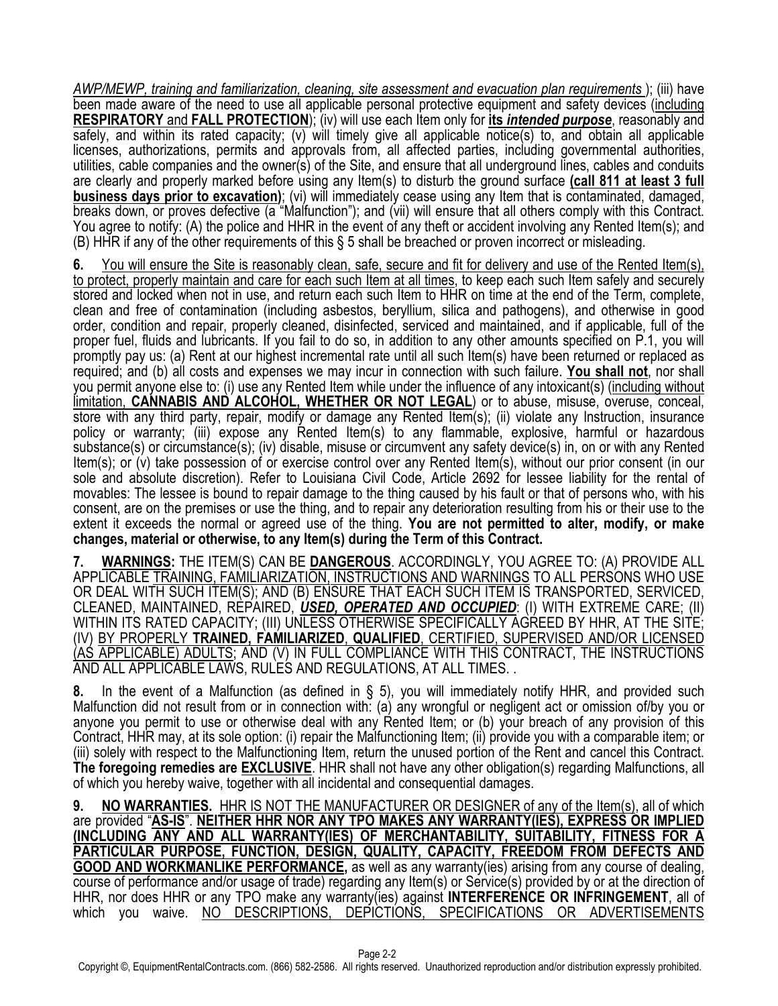*AWP/MEWP, training and familiarization, cleaning, site assessment and evacuation plan requirements* ); (iii) have been made aware of the need to use all applicable personal protective equipment and safety devices (including **RESPIRATORY** and **FALL PROTECTION**); (iv) will use each Item only for **its** *intended purpose*, reasonably and safely, and within its rated capacity; (v) will timely give all applicable notice(s) to, and obtain all applicable licenses, authorizations, permits and approvals from, all affected parties, including governmental authorities, utilities, cable companies and the owner(s) of the Site, and ensure that all underground lines, cables and conduits are clearly and properly marked before using any Item(s) to disturb the ground surface **(call 811 at least 3 full business days prior to excavation)**; (vi) will immediately cease using any Item that is contaminated, damaged, breaks down, or proves defective (a "Malfunction"); and (vii) will ensure that all others comply with this Contract. You agree to notify: (A) the police and HHR in the event of any theft or accident involving any Rented Item(s); and (B) HHR if any of the other requirements of this § 5 shall be breached or proven incorrect or misleading.

**6.** You will ensure the Site is reasonably clean, safe, secure and fit for delivery and use of the Rented Item(s), to protect, properly maintain and care for each such Item at all times, to keep each such Item safely and securely stored and locked when not in use, and return each such Item to HHR on time at the end of the Term, complete, clean and free of contamination (including asbestos, beryllium, silica and pathogens), and otherwise in good order, condition and repair, properly cleaned, disinfected, serviced and maintained, and if applicable, full of the proper fuel, fluids and lubricants. If you fail to do so, in addition to any other amounts specified on P.1, you will promptly pay us: (a) Rent at our highest incremental rate until all such Item(s) have been returned or replaced as required; and (b) all costs and expenses we may incur in connection with such failure. **You shall not**, nor shall you permit anyone else to: (i) use any Rented Item while under the influence of any intoxicant(s) (including without limitation, **CANNABIS AND ALCOHOL, WHETHER OR NOT LEGAL**) or to abuse, misuse, overuse, conceal, store with any third party, repair, modify or damage any Rented Item(s); (ii) violate any Instruction, insurance policy or warranty; (iii) expose any Rented Item(s) to any flammable, explosive, harmful or hazardous substance(s) or circumstance(s); (iv) disable, misuse or circumvent any safety device(s) in, on or with any Rented Item(s); or (v) take possession of or exercise control over any Rented Item(s), without our prior consent (in our sole and absolute discretion). Refer to Louisiana Civil Code, Article 2692 for lessee liability for the rental of movables: The lessee is bound to repair damage to the thing caused by his fault or that of persons who, with his consent, are on the premises or use the thing, and to repair any deterioration resulting from his or their use to the extent it exceeds the normal or agreed use of the thing. **You are not permitted to alter, modify, or make changes, material or otherwise, to any Item(s) during the Term of this Contract.**

**7. WARNINGS:** THE ITEM(S) CAN BE **DANGEROUS**. ACCORDINGLY, YOU AGREE TO: (A) PROVIDE ALL APPLICABLE TRAINING, FAMILIARIZATION, INSTRUCTIONS AND WARNINGS TO ALL PERSONS WHO USE OR DEAL WITH SUCH ITEM(S); AND (B) ENSURE THAT EACH SUCH ITEM IS TRANSPORTED, SERVICED, CLEANED, MAINTAINED, REPAIRED, *USED, OPERATED AND OCCUPIED*: (I) WITH EXTREME CARE; (II) WITHIN ITS RATED CAPACITY; (III) UNLESS OTHERWISE SPECIFICALLY AGREED BY HHR, AT THE SITE; (IV) BY PROPERLY **TRAINED, FAMILIARIZED**, **QUALIFIED**, CERTIFIED, SUPERVISED AND/OR LICENSED (AS APPLICABLE) ADULTS; AND (V) IN FULL COMPLIANCE WITH THIS CONTRACT, THE INSTRUCTIONS AND ALL APPLICABLE LAWS, RULES AND REGULATIONS, AT ALL TIMES. .

**8.** In the event of a Malfunction (as defined in § 5), you will immediately notify HHR, and provided such Malfunction did not result from or in connection with: (a) any wrongful or negligent act or omission of/by you or anyone you permit to use or otherwise deal with any Rented Item; or (b) your breach of any provision of this Contract, HHR may, at its sole option: (i) repair the Malfunctioning Item; (ii) provide you with a comparable item; or (iii) solely with respect to the Malfunctioning Item, return the unused portion of the Rent and cancel this Contract. **The foregoing remedies are EXCLUSIVE**. HHR shall not have any other obligation(s) regarding Malfunctions, all of which you hereby waive, together with all incidental and consequential damages.

**9. NO WARRANTIES.** HHR IS NOT THE MANUFACTURER OR DESIGNER of any of the Item(s), all of which are provided "**AS-IS**". **NEITHER HHR NOR ANY TPO MAKES ANY WARRANTY(IES), EXPRESS OR IMPLIED (INCLUDING ANY AND ALL WARRANTY(IES) OF MERCHANTABILITY, SUITABILITY, FITNESS FOR A PARTICULAR PURPOSE, FUNCTION, DESIGN, QUALITY, CAPACITY, FREEDOM FROM DEFECTS AND**<br>**GOOD AND WORKMANLIKE PERFORMANCE**, as well as any warranty(ies) arising from any course of dealing, course of performance and/or usage of trade) regarding any Item(s) or Service(s) provided by or at the direction of HHR, nor does HHR or any TPO make any warranty(ies) against **INTERFERENCE OR INFRINGEMENT**, all of which you waive. NO DESCRIPTIONS, DEPICTIONS, SPECIFICATIONS OR ADVERTISEMENTS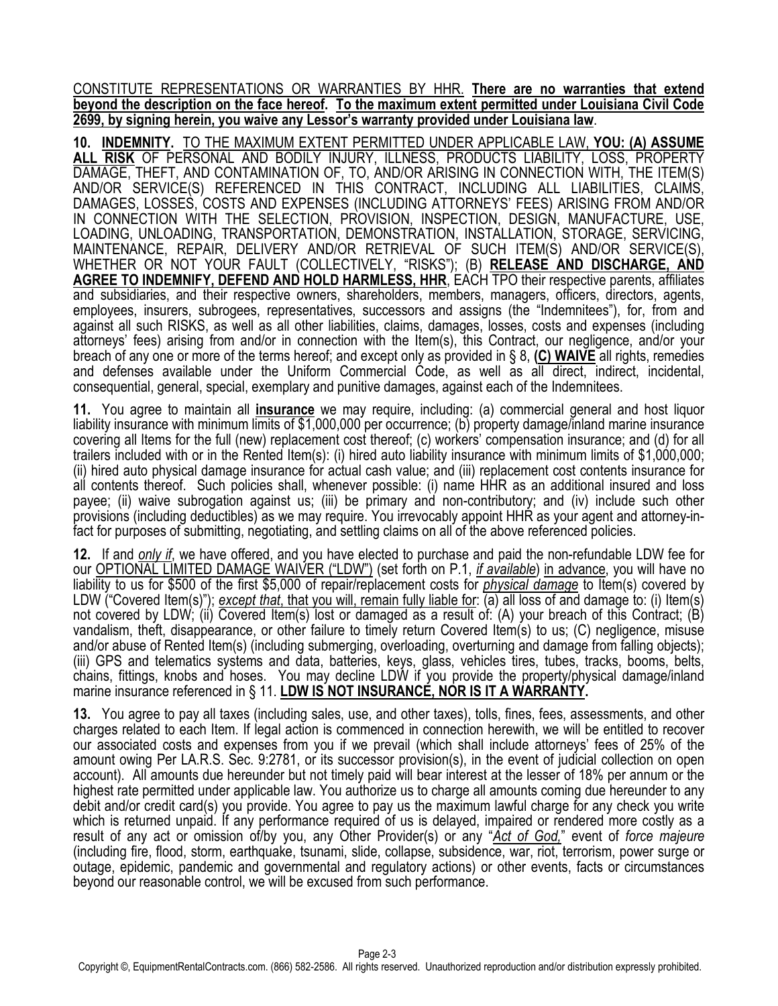CONSTITUTE REPRESENTATIONS OR WARRANTIES BY HHR. **There are no warranties that extend beyond the description on the face hereof. To the maximum extent permitted under Louisiana Civil Code 2699, by signing herein, you waive any Lessor's warranty provided under Louisiana law**.

**10. INDEMNITY.** TO THE MAXIMUM EXTENT PERMITTED UNDER APPLICABLE LAW, **YOU: (A) ASSUME ALL RISK** OF PERSONAL AND BODILY INJURY, ILLNESS, PRODUCTS LIABILITY, LOSS, PROPERTY DAMAGE, THEFT, AND CONTAMINATION OF, TO, AND/OR ARISING IN CONNECTION WITH, THE ITEM(S) AND/OR SERVICE(S) REFERENCED IN THIS CONTRACT, INCLUDING ALL LIABILITIES, CLAIMS, DAMAGES, LOSSES, COSTS AND EXPENSES (INCLUDING ATTORNEYS' FEES) ARISING FROM AND/OR IN CONNECTION WITH THE SELECTION, PROVISION, INSPECTION, DESIGN, MANUFACTURE, USE, LOADING, UNLOADING, TRANSPORTATION, DEMONSTRATION, INSTALLATION, STORAGE, SERVICING, MAINTENANCE, REPAIR, DELIVERY AND/OR RETRIEVAL OF SUCH ITEM(S) AND/OR SERVICE(S), WHETHER OR NOT YOUR FAULT (COLLECTIVELY, "RISKS"); (B) **RELEASE AND DISCHARGE, AND AGREE TO INDEMNIFY, DEFEND AND HOLD HARMLESS, HHR**, EACH TPO their respective parents, affiliates and subsidiaries, and their respective owners, shareholders, members, managers, officers, directors, agents, employees, insurers, subrogees, representatives, successors and assigns (the "Indemnitees"), for, from and against all such RISKS, as well as all other liabilities, claims, damages, losses, costs and expenses (including attorneys' fees) arising from and/or in connection with the Item(s), this Contract, our negligence, and/or your breach of any one or more of the terms hereof; and except only as provided in § 8, **(C) WAIVE** all rights, remedies and defenses available under the Uniform Commercial Code, as well as all direct, indirect, incidental, consequential, general, special, exemplary and punitive damages, against each of the Indemnitees.

**11.** You agree to maintain all **insurance** we may require, including: (a) commercial general and host liquor liability insurance with minimum limits of \$1,000,000 per occurrence; (b) property damage/inland marine insurance covering all Items for the full (new) replacement cost thereof; (c) workers' compensation insurance; and (d) for all trailers included with or in the Rented Item(s): (i) hired auto liability insurance with minimum limits of \$1,000,000; (ii) hired auto physical damage insurance for actual cash value; and (iii) replacement cost contents insurance for all contents thereof. Such policies shall, whenever possible: (i) name HHR as an additional insured and loss payee; (ii) waive subrogation against us; (iii) be primary and non-contributory; and (iv) include such other provisions (including deductibles) as we may require. You irrevocably appoint HHR as your agent and attorney-infact for purposes of submitting, negotiating, and settling claims on all of the above referenced policies.

**12.** If and *only if*, we have offered, and you have elected to purchase and paid the non-refundable LDW fee for our OPTIONAL LIMITED DAMAGE WAIVER ("LDW") (set forth on P.1, *if available*) in advance, you will have no liability to us for \$500 of the first \$5,000 of repair/replacement costs for *physical damage* to Item(s) covered by LDW ("Covered Item(s)"); *except that, that you will, remain fully liable for:* (a) all loss of and damage to: (i) Item(s) not covered by LDW; (ii) Covered Item(s) lost or damaged as a result of: (A) your breach of this Contract; (B) vandalism, theft, disappearance, or other failure to timely return Covered Item(s) to us; (C) negligence, misuse and/or abuse of Rented Item(s) (including submerging, overloading, overturning and damage from falling objects); (iii) GPS and telematics systems and data, batteries, keys, glass, vehicles tires, tubes, tracks, booms, belts, chains, fittings, knobs and hoses. You may decline LDW if you provide the property/physical damage/inland marine insurance referenced in § 11. **LDW IS NOT INSURANCE, NOR IS IT A WARRANTY.**

**13.** You agree to pay all taxes (including sales, use, and other taxes), tolls, fines, fees, assessments, and other charges related to each Item. If legal action is commenced in connection herewith, we will be entitled to recover our associated costs and expenses from you if we prevail (which shall include attorneys' fees of 25% of the amount owing Per LA.R.S. Sec. 9:2781, or its successor provision(s), in the event of judicial collection on open account). All amounts due hereunder but not timely paid will bear interest at the lesser of 18% per annum or the highest rate permitted under applicable law. You authorize us to charge all amounts coming due hereunder to any debit and/or credit card(s) you provide. You agree to pay us the maximum lawful charge for any check you write which is returned unpaid. If any performance required of us is delayed, impaired or rendered more costly as a result of any act or omission of/by you, any Other Provider(s) or any "*Act of God,*" event of *force majeure* (including fire, flood, storm, earthquake, tsunami, slide, collapse, subsidence, war, riot, terrorism, power surge or outage, epidemic, pandemic and governmental and regulatory actions) or other events, facts or circumstances beyond our reasonable control, we will be excused from such performance.